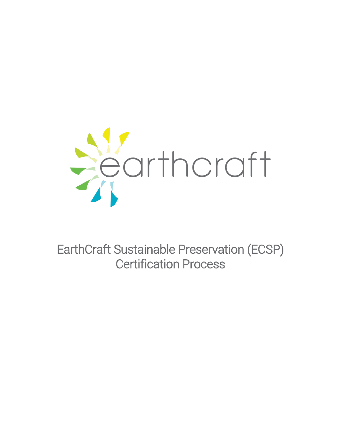

EarthCraft Sustainable Preservation (ECSP) Certification Process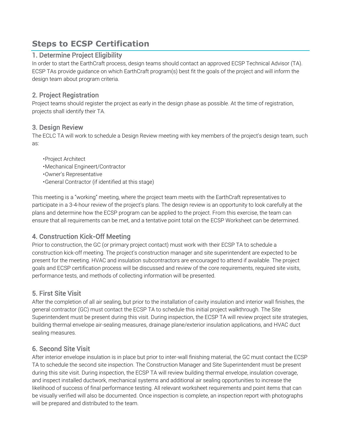# **Steps to ECSP Certification**

#### 1. Determine Project Eligibility

In order to start the EarthCraft process, design teams should contact an approved ECSP Technical Advisor (TA). ECSP TAs provide guidance on which EarthCraft program(s) best fit the goals of the project and will inform the design team about program criteria.

### 2. Project Registration

Project teams should register the project as early in the design phase as possible. At the time of registration, projects shall identify their TA.

#### 3. Design Review

The ECLC TA will work to schedule a Design Review meeting with key members of the project's design team, such as:

- •Project Architect
- •Mechanical Engineert/Contractor
- •Owner's Representative
- •General Contractor (if identified at this stage)

This meeting is a "working" meeting, where the project team meets with the EarthCraft representatives to participate in a 3-4-hour review of the project's plans. The design review is an opportunity to look carefully at the plans and determine how the ECSP program can be applied to the project. From this exercise, the team can ensure that all requirements can be met, and a tentative point total on the ECSP Worksheet can be determined.

## 4. Construction Kick-Off Meeting

Prior to construction, the GC (or primary project contact) must work with their ECSP TA to schedule a construction kick-off meeting. The project's construction manager and site superintendent are expected to be present for the meeting. HVAC and insulation subcontractors are encouraged to attend if available. The project goals and ECSP certification process will be discussed and review of the core requirements, required site visits, performance tests, and methods of collecting information will be presented.

#### 5. First Site Visit

After the completion of all air sealing, but prior to the installation of cavity insulation and interior wall finishes, the general contractor (GC) must contact the ECSP TA to schedule this initial project walkthrough. The Site Superintendent must be present during this visit. During inspection, the ECSP TA will review project site strategies, building thermal envelope air-sealing measures, drainage plane/exterior insulation applications, and HVAC duct sealing measures.

## 6. Second Site Visit

After interior envelope insulation is in place but prior to inter-wall finishing material, the GC must contact the ECSP TA to schedule the second site inspection. The Construction Manager and Site Superintendent must be present during this site visit. During inspection, the ECSP TA will review building thermal envelope, insulation coverage, and inspect installed ductwork, mechanical systems and additional air sealing opportunities to increase the likelihood of success of final performance testing. All relevant worksheet requirements and point items that can be visually verified will also be documented. Once inspection is complete, an inspection report with photographs will be prepared and distributed to the team.